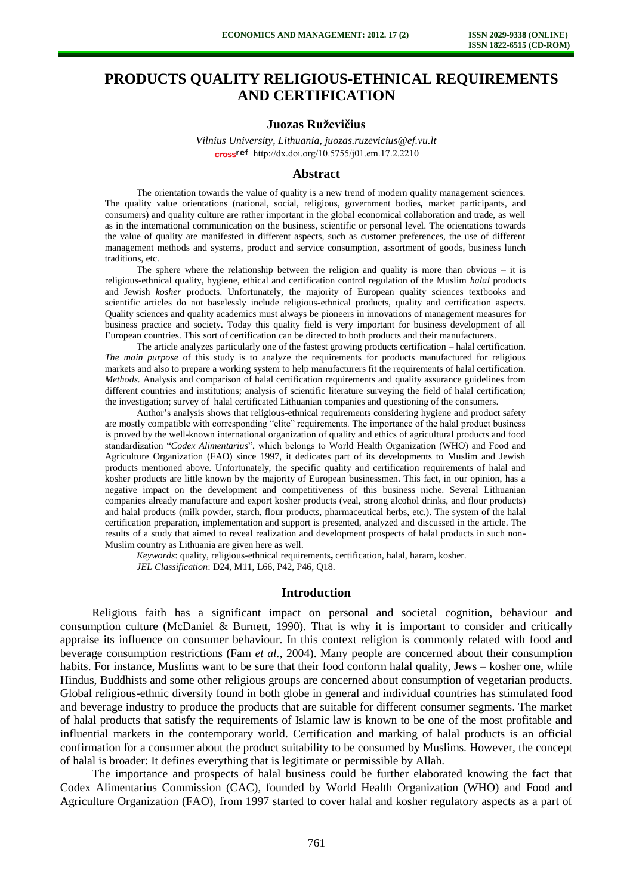# **PRODUCTS QUALITY RELIGIOUS-ETHNICAL REQUIREMENTS AND CERTIFICATION**

## **Juozas Ruževičius**

*Vilnius University, Lithuania, juozas.ruzevicius@ef.vu.lt*  cross<sup>ref</sup> http://dx.doi.org/10.5755/j01.em.17.2.2210

#### **Abstract**

The orientation towards the value of quality is a new trend of modern quality management sciences. The quality value orientations (national, social, religious, government bodies*,* market participants, and consumers) and quality culture are rather important in the global economical collaboration and trade, as well as in the international communication on the business, scientific or personal level. The orientations towards the value of quality are manifested in different aspects, such as customer preferences, the use of different management methods and systems, product and service consumption, assortment of goods, business lunch traditions, etc.

The sphere where the relationship between the religion and quality is more than obvious  $-$  it is religious-ethnical quality, hygiene, ethical and certification control regulation of the Muslim *halal* products and Jewish *kosher* products. Unfortunately, the majority of European quality sciences textbooks and scientific articles do not baselessly include religious-ethnical products, quality and certification aspects. Quality sciences and quality academics must always be pioneers in innovations of management measures for business practice and society. Today this quality field is very important for business development of all European countries. This sort of certification can be directed to both products and their manufacturers.

The article analyzes particularly one of the fastest growing products certification – halal certification. *The main purpose* of this study is to analyze the requirements for products manufactured for religious markets and also to prepare a working system to help manufacturers fit the requirements of halal certification. *Methods.* Analysis and comparison of halal certification requirements and quality assurance guidelines from different countries and institutions; analysis of scientific literature surveying the field of halal certification; the investigation; survey of halal certificated Lithuanian companies and questioning of the consumers.

Author's analysis shows that religious-ethnical requirements considering hygiene and product safety are mostly compatible with corresponding "elite" requirements. The importance of the halal product business is proved by the well-known international organization of quality and ethics of agricultural products and food standardization "*Codex Alimentarius*", which belongs to World Health Organization (WHO) and Food and Agriculture Organization (FAO) since 1997, it dedicates part of its developments to Muslim and Jewish products mentioned above. Unfortunately, the specific quality and certification requirements of halal and kosher products are little known by the majority of European businessmen. This fact, in our opinion, has a negative impact on the development and competitiveness of this business niche. Several Lithuanian companies already manufacture and export kosher products (veal, strong alcohol drinks, and flour products) and halal products (milk powder, starch, flour products, pharmaceutical herbs, etc.). The system of the halal certification preparation, implementation and support is presented, analyzed and discussed in the article. The results of a study that aimed to reveal realization and development prospects of halal products in such non-Muslim country as Lithuania are given here as well.

*Keywords*: quality, religious-ethnical requirements**,** certification, halal, haram, kosher. *JEL Classification*: D24, M11, L66, P42, P46, Q18.

#### **Introduction**

Religious faith has a significant impact on personal and societal cognition, behaviour and consumption culture (McDaniel & Burnett*,* 1990). That is why it is important to consider and critically appraise its influence on consumer behaviour. In this context religion is commonly related with food and beverage consumption restrictions (Fam *et al.,* 2004). Many people are concerned about their consumption habits. For instance, Muslims want to be sure that their food conform halal quality, Jews – kosher one, while Hindus, Buddhists and some other religious groups are concerned about consumption of vegetarian products. Global religious-ethnic diversity found in both globe in general and individual countries has stimulated food and beverage industry to produce the products that are suitable for different consumer segments. The market of halal products that satisfy the requirements of Islamic law is known to be one of the most profitable and influential markets in the contemporary world. Certification and marking of halal products is an official confirmation for a consumer about the product suitability to be consumed by Muslims. However, the concept of halal is broader: It defines everything that is legitimate or permissible by Allah.

The importance and prospects of halal business could be further elaborated knowing the fact that Codex Alimentarius Commission (CAC), founded by World Health Organization (WHO) and Food and Agriculture Organization (FAO), from 1997 started to cover halal and kosher regulatory aspects as a part of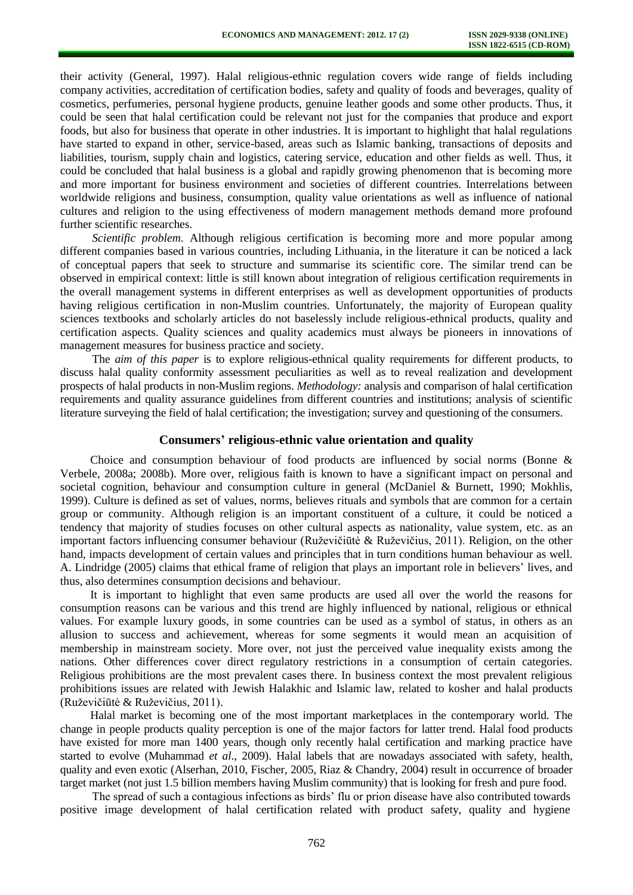their activity (General, 1997). Halal religious-ethnic regulation covers wide range of fields including company activities, accreditation of certification bodies, safety and quality of foods and beverages, quality of cosmetics, perfumeries, personal hygiene products, genuine leather goods and some other products. Thus, it could be seen that halal certification could be relevant not just for the companies that produce and export foods, but also for business that operate in other industries. It is important to highlight that halal regulations have started to expand in other, service-based, areas such as Islamic banking, transactions of deposits and liabilities, tourism, supply chain and logistics, catering service, education and other fields as well. Thus, it could be concluded that halal business is a global and rapidly growing phenomenon that is becoming more and more important for business environment and societies of different countries. Interrelations between worldwide religions and business, consumption, quality value orientations as well as influence of national cultures and religion to the using effectiveness of modern management methods demand more profound further scientific researches.

*Scientific problem*. Although religious certification is becoming more and more popular among different companies based in various countries, including Lithuania, in the literature it can be noticed a lack of conceptual papers that seek to structure and summarise its scientific core. The similar trend can be observed in empirical context: little is still known about integration of religious certification requirements in the overall management systems in different enterprises as well as development opportunities of products having religious certification in non-Muslim countries. Unfortunately, the majority of European quality sciences textbooks and scholarly articles do not baselessly include religious-ethnical products, quality and certification aspects. Quality sciences and quality academics must always be pioneers in innovations of management measures for business practice and society.

The *aim of this paper* is to explore religious-ethnical quality requirements for different products, to discuss halal quality conformity assessment peculiarities as well as to reveal realization and development prospects of halal products in non-Muslim regions. *Methodology:* analysis and comparison of halal certification requirements and quality assurance guidelines from different countries and institutions; analysis of scientific literature surveying the field of halal certification; the investigation; survey and questioning of the consumers.

#### **Consumers' religious-ethnic value orientation and quality**

Choice and consumption behaviour of food products are influenced by social norms (Bonne & Verbele, 2008a; 2008b). More over, religious faith is known to have a significant impact on personal and societal cognition, behaviour and consumption culture in general (McDaniel & Burnett, 1990; Mokhlis, 1999). Culture is defined as set of values, norms, believes rituals and symbols that are common for a certain group or community. Although religion is an important constituent of a culture, it could be noticed a tendency that majority of studies focuses on other cultural aspects as nationality, value system, etc. as an important factors influencing consumer behaviour (Ruževičiūtė & Ruževičius, 2011). Religion, on the other hand, impacts development of certain values and principles that in turn conditions human behaviour as well. A. Lindridge (2005) claims that ethical frame of religion that plays an important role in believers' lives, and thus, also determines consumption decisions and behaviour.

It is important to highlight that even same products are used all over the world the reasons for consumption reasons can be various and this trend are highly influenced by national, religious or ethnical values. For example luxury goods, in some countries can be used as a symbol of status, in others as an allusion to success and achievement, whereas for some segments it would mean an acquisition of membership in mainstream society. More over, not just the perceived value inequality exists among the nations. Other differences cover direct regulatory restrictions in a consumption of certain categories. Religious prohibitions are the most prevalent cases there. In business context the most prevalent religious prohibitions issues are related with Jewish Halakhic and Islamic law, related to kosher and halal products (Ruževičiūtė & Ruževičius, 2011).

Halal market is becoming one of the most important marketplaces in the contemporary world. The change in people products quality perception is one of the major factors for latter trend. Halal food products have existed for more man 1400 years, though only recently halal certification and marking practice have started to evolve (Muhammad *et al*., 2009). Halal labels that are nowadays associated with safety, health, quality and even exotic (Alserhan, 2010, Fischer, 2005, Riaz & Chandry, 2004) result in occurrence of broader target market (not just 1.5 billion members having Muslim community) that is looking for fresh and pure food.

The spread of such a contagious infections as birds' flu or prion disease have also contributed towards positive image development of halal certification related with product safety, quality and hygiene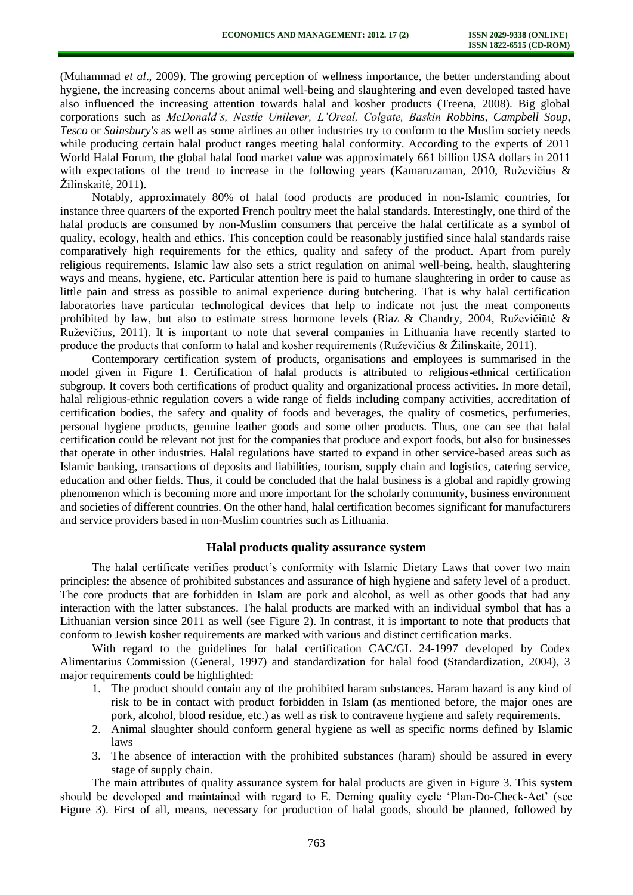(Muhammad *et al*., 2009). The growing perception of wellness importance, the better understanding about hygiene, the increasing concerns about animal well-being and slaughtering and even developed tasted have also influenced the increasing attention towards halal and kosher products (Treena, 2008). Big global corporations such as *McDonald's, Nestle Unilever, L'Oreal, Colgate, Baskin Robbins, Campbell Soup*, *Tesco* or *Sainsbury's* as well as some airlines an other industries try to conform to the Muslim society needs while producing certain halal product ranges meeting halal conformity. According to the experts of 2011 World Halal Forum, the global halal food market value was approximately 661 billion USA dollars in 2011 with expectations of the trend to increase in the following years (Kamaruzaman, 2010, Ruževičius & Žilinskaitė, 2011).

Notably, approximately 80% of halal food products are produced in non-Islamic countries, for instance three quarters of the exported French poultry meet the halal standards. Interestingly, one third of the halal products are consumed by non-Muslim consumers that perceive the halal certificate as a symbol of quality, ecology, health and ethics. This conception could be reasonably justified since halal standards raise comparatively high requirements for the ethics, quality and safety of the product. Apart from purely religious requirements, Islamic law also sets a strict regulation on animal well-being, health, slaughtering ways and means, hygiene, etc. Particular attention here is paid to humane slaughtering in order to cause as little pain and stress as possible to animal experience during butchering. That is why halal certification laboratories have particular technological devices that help to indicate not just the meat components prohibited by law, but also to estimate stress hormone levels (Riaz & Chandry, 2004, Ruževičiūtė & Ruževičius, 2011). It is important to note that several companies in Lithuania have recently started to produce the products that conform to halal and kosher requirements (Ruževičius & Žilinskaitė, 2011).

Contemporary certification system of products, organisations and employees is summarised in the model given in Figure 1. Certification of halal products is attributed to religious-ethnical certification subgroup. It covers both certifications of product quality and organizational process activities. In more detail, halal religious-ethnic regulation covers a wide range of fields including company activities, accreditation of certification bodies, the safety and quality of foods and beverages, the quality of cosmetics, perfumeries, personal hygiene products, genuine leather goods and some other products. Thus, one can see that halal certification could be relevant not just for the companies that produce and export foods, but also for businesses that operate in other industries. Halal regulations have started to expand in other service-based areas such as Islamic banking, transactions of deposits and liabilities, tourism, supply chain and logistics, catering service, education and other fields. Thus, it could be concluded that the halal business is a global and rapidly growing phenomenon which is becoming more and more important for the scholarly community, business environment and societies of different countries. On the other hand, halal certification becomes significant for manufacturers and service providers based in non-Muslim countries such as Lithuania.

## **Halal products quality assurance system**

The halal certificate verifies product's conformity with Islamic Dietary Laws that cover two main principles: the absence of prohibited substances and assurance of high hygiene and safety level of a product. The core products that are forbidden in Islam are pork and alcohol, as well as other goods that had any interaction with the latter substances. The halal products are marked with an individual symbol that has a Lithuanian version since 2011 as well (see Figure 2). In contrast, it is important to note that products that conform to Jewish kosher requirements are marked with various and distinct certification marks.

With regard to the guidelines for halal certification CAC/GL 24-1997 developed by Codex Alimentarius Commission (General, 1997) and standardization for halal food (Standardization, 2004), 3 major requirements could be highlighted:

- 1. The product should contain any of the prohibited haram substances. Haram hazard is any kind of risk to be in contact with product forbidden in Islam (as mentioned before, the major ones are pork, alcohol, blood residue, etc.) as well as risk to contravene hygiene and safety requirements.
- 2. Animal slaughter should conform general hygiene as well as specific norms defined by Islamic laws
- 3. The absence of interaction with the prohibited substances (haram) should be assured in every stage of supply chain.

The main attributes of quality assurance system for halal products are given in Figure 3. This system should be developed and maintained with regard to E. Deming quality cycle 'Plan-Do-Check-Act' (see Figure 3). First of all, means, necessary for production of halal goods, should be planned, followed by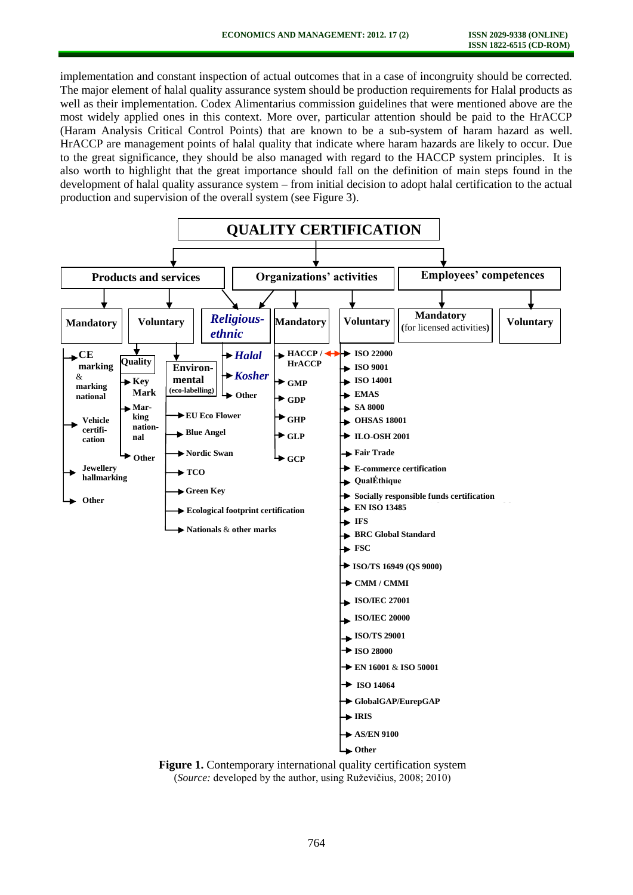implementation and constant inspection of actual outcomes that in a case of incongruity should be corrected. The major element of halal quality assurance system should be production requirements for Halal products as well as their implementation. Codex Alimentarius commission guidelines that were mentioned above are the most widely applied ones in this context. More over, particular attention should be paid to the HrACCP (Haram Analysis Critical Control Points) that are known to be a sub-system of haram hazard as well. HrACCP are management points of halal quality that indicate where haram hazards are likely to occur. Due to the great significance, they should be also managed with regard to the HACCP system principles. It is also worth to highlight that the great importance should fall on the definition of main steps found in the development of halal quality assurance system – from initial decision to adopt halal certification to the actual production and supervision of the overall system (see Figure 3).



(*Source:* developed by the author, using Ruževičius, 2008; 2010)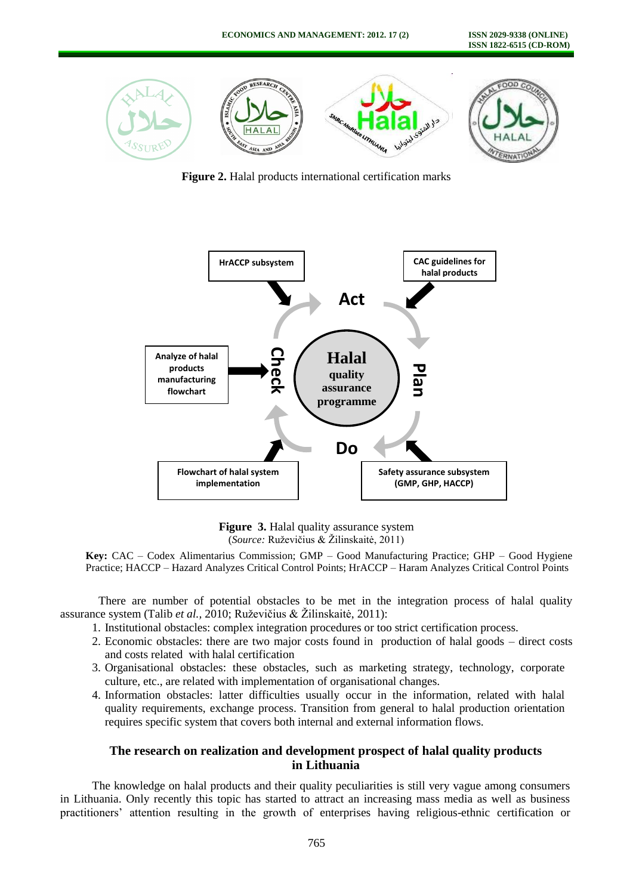

**Figure 2.** Halal products international certification marks



**Figure 3.** Halal quality assurance system (*Source:* Ruževičius & Žilinskaitė, 2011)

**Key:** CAC – Codex Alimentarius Commission; GMP – Good Manufacturing Practice; GHP – Good Hygiene Practice; HACCP – Hazard Analyzes Critical Control Points; HrACCP – Haram Analyzes Critical Control Points

There are number of potential obstacles to be met in the integration process of halal quality assurance system (Talib *et al.,* 2010; Ruževičius & Žilinskaitė, 2011):

- 1. Institutional obstacles: complex integration procedures or too strict certification process.
- 2. Economic obstacles: there are two major costs found in production of halal goods direct costs and costs related with halal certification
- 3. Organisational obstacles: these obstacles, such as marketing strategy, technology, corporate culture, etc., are related with implementation of organisational changes.
- 4. Information obstacles: latter difficulties usually occur in the information, related with halal quality requirements, exchange process. Transition from general to halal production orientation requires specific system that covers both internal and external information flows.

# **The research on realization and development prospect of halal quality products in Lithuania**

The knowledge on halal products and their quality peculiarities is still very vague among consumers in Lithuania. Only recently this topic has started to attract an increasing mass media as well as business practitioners' attention resulting in the growth of enterprises having religious-ethnic certification or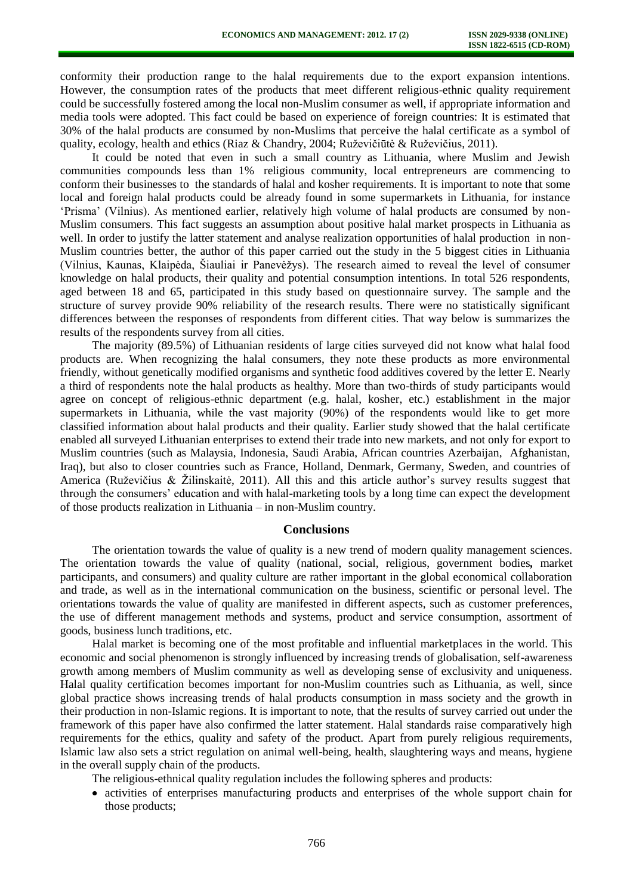conformity their production range to the halal requirements due to the export expansion intentions. However, the consumption rates of the products that meet different religious-ethnic quality requirement could be successfully fostered among the local non-Muslim consumer as well, if appropriate information and media tools were adopted. This fact could be based on experience of foreign countries: It is estimated that 30% of the halal products are consumed by non-Muslims that perceive the halal certificate as a symbol of quality, ecology, health and ethics (Riaz & Chandry, 2004; Ruževičiūtė & Ruževičius, 2011).

It could be noted that even in such a small country as Lithuania, where Muslim and Jewish communities compounds less than 1% religious community, local entrepreneurs are commencing to conform their businesses to the standards of halal and kosher requirements. It is important to note that some local and foreign halal products could be already found in some supermarkets in Lithuania, for instance 'Prisma' (Vilnius). As mentioned earlier, relatively high volume of halal products are consumed by non-Muslim consumers. This fact suggests an assumption about positive halal market prospects in Lithuania as well. In order to justify the latter statement and analyse realization opportunities of halal production in non-Muslim countries better, the author of this paper carried out the study in the 5 biggest cities in Lithuania (Vilnius, Kaunas, Klaipėda, Šiauliai ir Panevėžys). The research aimed to reveal the level of consumer knowledge on halal products, their quality and potential consumption intentions. In total 526 respondents, aged between 18 and 65, participated in this study based on questionnaire survey. The sample and the structure of survey provide 90% reliability of the research results. There were no statistically significant differences between the responses of respondents from different cities. That way below is summarizes the results of the respondents survey from all cities.

The majority (89.5%) of Lithuanian residents of large cities surveyed did not know what halal food products are. When recognizing the halal consumers, they note these products as more environmental friendly, without genetically modified organisms and synthetic food additives covered by the letter E. Nearly a third of respondents note the halal products as healthy. More than two-thirds of study participants would agree on concept of religious-ethnic department (e.g. halal, kosher, etc.) establishment in the major supermarkets in Lithuania, while the vast majority (90%) of the respondents would like to get more classified information about halal products and their quality. Earlier study showed that the halal certificate enabled all surveyed Lithuanian enterprises to extend their trade into new markets, and not only for export to Muslim countries (such as Malaysia, Indonesia, Saudi Arabia, African countries Azerbaijan, Afghanistan, Iraq), but also to closer countries such as France, Holland, Denmark, Germany, Sweden, and countries of America (Ruževičius & Žilinskaitė, 2011). All this and this article author's survey results suggest that through the consumers' education and with halal-marketing tools by a long time can expect the development of those products realization in Lithuania – in non-Muslim country.

#### **Conclusions**

The orientation towards the value of quality is a new trend of modern quality management sciences. The orientation towards the value of quality (national, social, religious, government bodies*,* market participants, and consumers) and quality culture are rather important in the global economical collaboration and trade, as well as in the international communication on the business, scientific or personal level. The orientations towards the value of quality are manifested in different aspects, such as customer preferences, the use of different management methods and systems, product and service consumption, assortment of goods, business lunch traditions, etc.

Halal market is becoming one of the most profitable and influential marketplaces in the world. This economic and social phenomenon is strongly influenced by increasing trends of globalisation, self-awareness growth among members of Muslim community as well as developing sense of exclusivity and uniqueness. Halal quality certification becomes important for non-Muslim countries such as Lithuania, as well, since global practice shows increasing trends of halal products consumption in mass society and the growth in their production in non-Islamic regions. It is important to note, that the results of survey carried out under the framework of this paper have also confirmed the latter statement. Halal standards raise comparatively high requirements for the ethics, quality and safety of the product. Apart from purely religious requirements, Islamic law also sets a strict regulation on animal well-being, health, slaughtering ways and means, hygiene in the overall supply chain of the products.

The religious-ethnical quality regulation includes the following spheres and products:

activities of enterprises manufacturing products and enterprises of the whole support chain for those products;